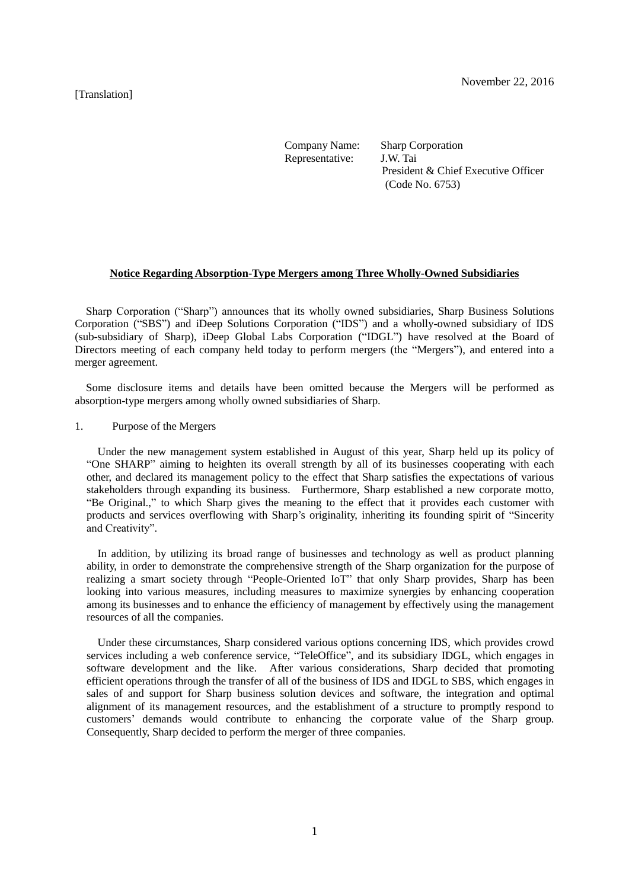#### [Translation]

Company Name: Sharp Corporation Representative: J.W. Tai President & Chief Executive Officer (Code No. 6753)

### **Notice Regarding Absorption-Type Mergers among Three Wholly-Owned Subsidiaries**

Sharp Corporation ("Sharp") announces that its wholly owned subsidiaries, Sharp Business Solutions Corporation ("SBS") and iDeep Solutions Corporation ("IDS") and a wholly-owned subsidiary of IDS (sub-subsidiary of Sharp), iDeep Global Labs Corporation ("IDGL") have resolved at the Board of Directors meeting of each company held today to perform mergers (the "Mergers"), and entered into a merger agreement.

Some disclosure items and details have been omitted because the Mergers will be performed as absorption-type mergers among wholly owned subsidiaries of Sharp.

#### 1. Purpose of the Mergers

Under the new management system established in August of this year, Sharp held up its policy of "One SHARP" aiming to heighten its overall strength by all of its businesses cooperating with each other, and declared its management policy to the effect that Sharp satisfies the expectations of various stakeholders through expanding its business. Furthermore, Sharp established a new corporate motto, "Be Original.," to which Sharp gives the meaning to the effect that it provides each customer with products and services overflowing with Sharp's originality, inheriting its founding spirit of "Sincerity and Creativity".

In addition, by utilizing its broad range of businesses and technology as well as product planning ability, in order to demonstrate the comprehensive strength of the Sharp organization for the purpose of realizing a smart society through "People-Oriented IoT" that only Sharp provides, Sharp has been looking into various measures, including measures to maximize synergies by enhancing cooperation among its businesses and to enhance the efficiency of management by effectively using the management resources of all the companies.

Under these circumstances, Sharp considered various options concerning IDS, which provides crowd services including a web conference service, "TeleOffice", and its subsidiary IDGL, which engages in software development and the like. After various considerations, Sharp decided that promoting efficient operations through the transfer of all of the business of IDS and IDGL to SBS, which engages in sales of and support for Sharp business solution devices and software, the integration and optimal alignment of its management resources, and the establishment of a structure to promptly respond to customers' demands would contribute to enhancing the corporate value of the Sharp group. Consequently, Sharp decided to perform the merger of three companies.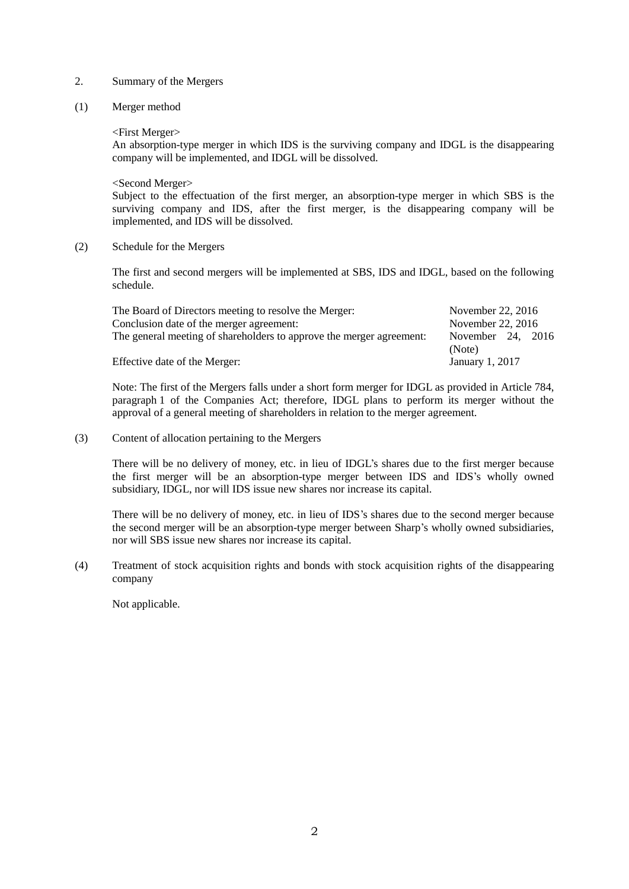#### 2. Summary of the Mergers

(1) Merger method

<First Merger>

An absorption-type merger in which IDS is the surviving company and IDGL is the disappearing company will be implemented, and IDGL will be dissolved.

<Second Merger>

Subject to the effectuation of the first merger, an absorption-type merger in which SBS is the surviving company and IDS, after the first merger, is the disappearing company will be implemented, and IDS will be dissolved.

(2) Schedule for the Mergers

The first and second mergers will be implemented at SBS, IDS and IDGL, based on the following schedule.

| The Board of Directors meeting to resolve the Merger:                | November 22, 2016   |
|----------------------------------------------------------------------|---------------------|
| Conclusion date of the merger agreement:                             | November 22, 2016   |
| The general meeting of shareholders to approve the merger agreement: | November 24, $2016$ |
|                                                                      | (Note)              |
| Effective date of the Merger:                                        | January 1, 2017     |

Note: The first of the Mergers falls under a short form merger for IDGL as provided in Article 784, paragraph 1 of the Companies Act; therefore, IDGL plans to perform its merger without the approval of a general meeting of shareholders in relation to the merger agreement.

(3) Content of allocation pertaining to the Mergers

There will be no delivery of money, etc. in lieu of IDGL's shares due to the first merger because the first merger will be an absorption-type merger between IDS and IDS's wholly owned subsidiary, IDGL, nor will IDS issue new shares nor increase its capital.

There will be no delivery of money, etc. in lieu of IDS's shares due to the second merger because the second merger will be an absorption-type merger between Sharp's wholly owned subsidiaries, nor will SBS issue new shares nor increase its capital.

(4) Treatment of stock acquisition rights and bonds with stock acquisition rights of the disappearing company

Not applicable.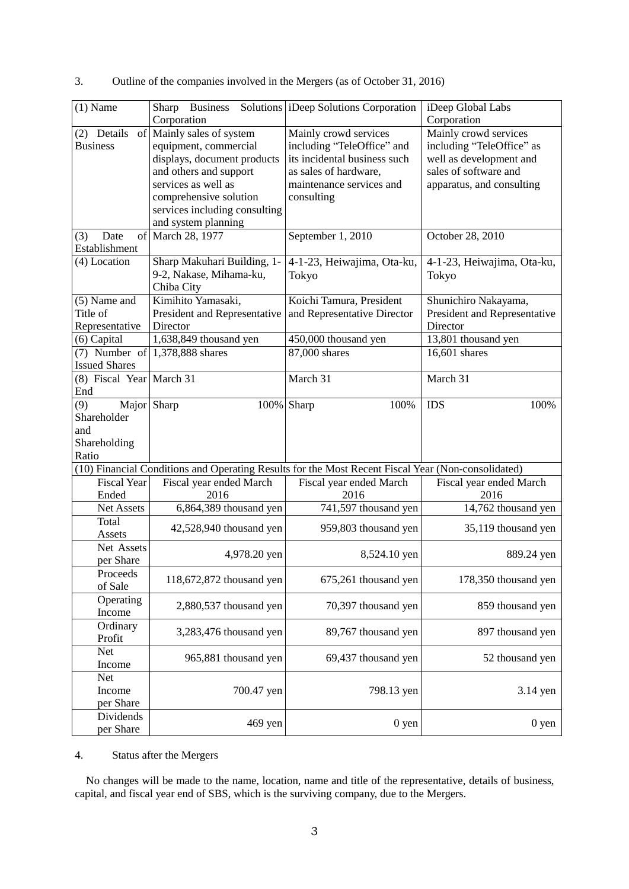| $(1)$ Name                                                                                         | Sharp<br><b>Business</b><br>Corporation                                                                                                                                                                              | Solutions Deep Solutions Corporation                                                                                                                   | iDeep Global Labs<br>Corporation                                                                                                    |
|----------------------------------------------------------------------------------------------------|----------------------------------------------------------------------------------------------------------------------------------------------------------------------------------------------------------------------|--------------------------------------------------------------------------------------------------------------------------------------------------------|-------------------------------------------------------------------------------------------------------------------------------------|
| (2) Details<br><b>Business</b>                                                                     | of Mainly sales of system<br>equipment, commercial<br>displays, document products<br>and others and support<br>services as well as<br>comprehensive solution<br>services including consulting<br>and system planning | Mainly crowd services<br>including "TeleOffice" and<br>its incidental business such<br>as sales of hardware,<br>maintenance services and<br>consulting | Mainly crowd services<br>including "TeleOffice" as<br>well as development and<br>sales of software and<br>apparatus, and consulting |
| (3)<br>Date<br>Establishment                                                                       | of March 28, 1977                                                                                                                                                                                                    | September 1, 2010                                                                                                                                      | October 28, 2010                                                                                                                    |
| (4) Location                                                                                       | Sharp Makuhari Building, 1-<br>9-2, Nakase, Mihama-ku,<br>Chiba City                                                                                                                                                 | 4-1-23, Heiwajima, Ota-ku,<br>Tokyo                                                                                                                    | 4-1-23, Heiwajima, Ota-ku,<br>Tokyo                                                                                                 |
| (5) Name and<br>Title of<br>Representative                                                         | Kimihito Yamasaki,<br>President and Representative<br>Director                                                                                                                                                       | Koichi Tamura, President<br>and Representative Director                                                                                                | Shunichiro Nakayama,<br>President and Representative<br>Director                                                                    |
| $(6)$ Capital                                                                                      | 1,638,849 thousand yen                                                                                                                                                                                               | 450,000 thousand yen                                                                                                                                   | 13,801 thousand yen                                                                                                                 |
| <b>Issued Shares</b>                                                                               | (7) Number of $ 1,378,888$ shares                                                                                                                                                                                    | 87,000 shares                                                                                                                                          | 16,601 shares                                                                                                                       |
| (8) Fiscal Year March 31<br>End                                                                    |                                                                                                                                                                                                                      | March 31                                                                                                                                               | March 31                                                                                                                            |
| Major Sharp<br>(9)<br>Shareholder<br>and<br>Shareholding<br>Ratio                                  | 100% Sharp                                                                                                                                                                                                           | 100%                                                                                                                                                   | <b>IDS</b><br>100%                                                                                                                  |
| (10) Financial Conditions and Operating Results for the Most Recent Fiscal Year (Non-consolidated) |                                                                                                                                                                                                                      |                                                                                                                                                        |                                                                                                                                     |
| <b>Fiscal Year</b><br>Ended                                                                        | Fiscal year ended March<br>2016                                                                                                                                                                                      | Fiscal year ended March<br>2016                                                                                                                        | Fiscal year ended March<br>2016                                                                                                     |
| Net Assets                                                                                         | 6,864,389 thousand yen                                                                                                                                                                                               | 741,597 thousand yen                                                                                                                                   | 14,762 thousand yen                                                                                                                 |
| Total<br>Assets                                                                                    | 42,528,940 thousand yen                                                                                                                                                                                              | 959,803 thousand yen                                                                                                                                   | 35,119 thousand yen                                                                                                                 |
| Net Assets<br>per Share                                                                            | 4,978.20 yen                                                                                                                                                                                                         | 8,524.10 yen                                                                                                                                           | 889.24 yen                                                                                                                          |
| Proceeds<br>of Sale                                                                                | 118,672,872 thousand yen                                                                                                                                                                                             | 675,261 thousand yen                                                                                                                                   | 178,350 thousand yen                                                                                                                |
| Operating<br>Income                                                                                | 2,880,537 thousand yen                                                                                                                                                                                               | 70,397 thousand yen                                                                                                                                    | 859 thousand yen                                                                                                                    |
| Ordinary<br>Profit                                                                                 | 3,283,476 thousand yen                                                                                                                                                                                               | 89,767 thousand yen                                                                                                                                    | 897 thousand yen                                                                                                                    |
| <b>Net</b><br>Income                                                                               | 965,881 thousand yen                                                                                                                                                                                                 | 69,437 thousand yen                                                                                                                                    | 52 thousand yen                                                                                                                     |
| <b>Net</b><br>Income<br>per Share                                                                  | 700.47 yen                                                                                                                                                                                                           | 798.13 yen                                                                                                                                             | 3.14 yen                                                                                                                            |
| Dividends<br>per Share                                                                             | 469 yen                                                                                                                                                                                                              | $0$ yen                                                                                                                                                | 0 yen                                                                                                                               |

3. Outline of the companies involved in the Mergers (as of October 31, 2016)

# 4. Status after the Mergers

No changes will be made to the name, location, name and title of the representative, details of business, capital, and fiscal year end of SBS, which is the surviving company, due to the Mergers.